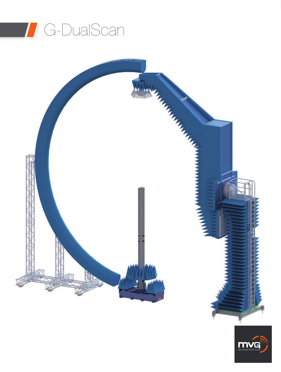



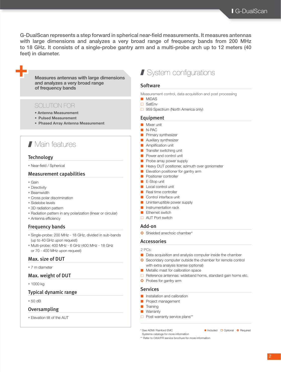G-DualScan represents a step forward in spherical near-field measurements. It measures antennas with large dimensions and analyzes a very broad range of frequency bands from 200 MHz to 18 GHz. It consists of a single-probe gantry arm and a multi-probe arch up to 12 meters (40 feet) in diameter.

# Measures antennas with large dimensions and analyzes a very broad range of frequency bands

# SOLUTION FOR

- Antenna Measurement
- Pulsed Measurement
- Phased Array Antenna Measurement

# **7** Main features

## **Technology**

• Near-field / Spherical

# Measurement capabilities

• Gain

**+**

- Directivity
- Beamwidth
- Cross polar discrimination
- Sidelobe levels
- 3D radiation pattern
- Radiation pattern in any polarization (linear or circular)
- Antenna efficiency

# Frequency bands

- Single-probe: 200 MHz 18 GHz, divided in sub-bands (up to 40 GHz upon request)
- Multi-probe: 400 MHz 6 GHz (400 MHz 18 GHz or 70 - 400 MHz upon request)

### Max. size of DUT

## • 7 m diameter

## Max. weight of DUT

• 1000 kg

# Typical dynamic range

• 50 dB

## **Oversampling**

• Elevation tilt of the AUT

# **System configurations**

### **Software**

Measurement control, data acquisition and post processing

- MiDAS
- SatEnv
- □ 959 Spectrum (North America only)

### Equipment

- Mixer unit
- N-PAC
- Primary synthesizer
- Auxiliary synthesizer
- Amplification unit
- Transfer switching unit
- Power and control unit
- Probe array power supply
- Heavy DUT positioner, azimuth over goniometer
- Elevation positioner for gantry arm
- Positioner controller
- E-Stop unit
- Local control unit
- Real time controller
- Control interface unit
- Uninterruptible power supply
- Instrumentation rack
- Ethernet switch
- □ AUT Port switch

# Add-on

**O** Shielded anechoic chamber\*

#### Accessories

#### 2 PCs:

- Data acquisition and analysis computer inside the chamber
- **O** Secondary computer outside the chamber for remote control with extra analysis license (optional)
- Metallic mast for calibration space
- $\Box$  Reference antennas: wideband horns, standard gain horns etc.
- **O** Probes for gantry arm

### **Services**

- Installation and calibration
- Project management
- Training
- Warranty
- $\Box$  Post warranty service plans\*\*

Systems catalogs for more information \*\* Refer to Orbit/FR service brochure for more information

<sup>\*</sup> See AEMI/ Rainford EMC **Included Included Included Included Included Optional Optional Optional**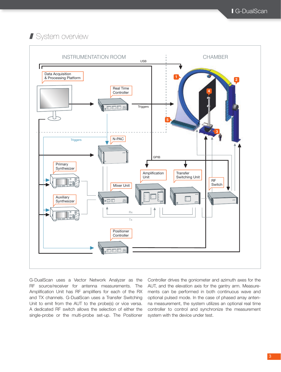# **System overview**



G-DualScan uses a Vector Network Analyzer as the RF source/receiver for antenna measurements. The Amplification Unit has RF amplifiers for each of the RX and TX channels. G-DualScan uses a Transfer Switching Unit to emit from the AUT to the probe(s) or vice versa. A dedicated RF switch allows the selection of either the single-probe or the multi-probe set-up. The Positioner

Controller drives the goniometer and azimuth axes for the AUT, and the elevation axis for the gantry arm. Measurements can be performed in both continuous wave and optional pulsed mode. In the case of phased array antenna measurement, the system utilizes an optional real time controller to control and synchronize the measurement system with the device under test.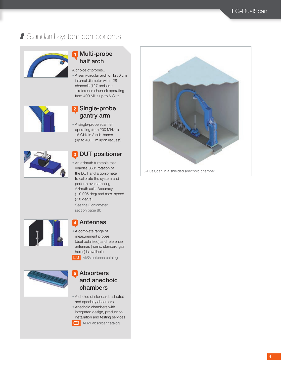# I Standard system components



# Multi-probe half arch

A choice of probes… • A semi-circular arch of 1280 cm internal diameter with 128 channels (127 probes + 1 reference channel) operating from 400 MHz up to 6 GHz



# 2 Single-probe gantry arm

• A single-probe scanner operating from 200 MHz to 18 GHz in 3 sub-bands (up to 40 GHz upon request)



# **3 DUT positioner**

• An azimuth turntable that enables 360° rotation of the DUT and a goniometer to calibrate the system and perform oversampling. Azimuth axis: Accuracy  $(\pm 0.005$  deg) and max. speed (7.8 deg/s) See the Goniometer section page 86



# 4 Antennas

• A complete range of measurement probes (dual polarized) and reference antennas (horns, standard gain horns) is available

**A** MVG antenna catalog



# **5** Absorbers and anechoic chambers

- A choice of standard, adapted and specialty absorbers
- Anechoic chambers with integrated design, production,
- installation and testing services
- **AEMI** absorber catalog



G-DualScan in a shielded anechoic chamber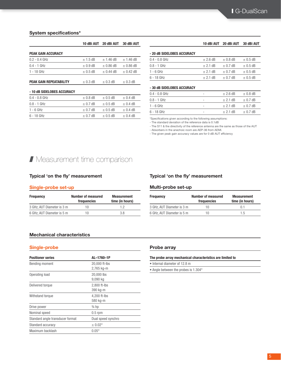## System specifications\*

|                                |              | 10 dBi AUT 20 dBi AUT | 30 dBi AUT    |
|--------------------------------|--------------|-----------------------|---------------|
| <b>PEAK GAIN ACCURACY</b>      |              |                       |               |
| $0.2 - 0.4$ GHz                | $± 1.5$ dB   | $± 1.46$ dB           | $± 1.46$ dB   |
| $0.4 - 1$ GHz                  | $\pm$ 0.9 dB | $\pm$ 0.86 dB         | $\pm$ 0.86 dB |
| 1 - 18 GHz                     | $\pm$ 0.5 dB | $\pm$ 0.44 dB         | $\pm$ 0.42 dB |
| <b>PEAK GAIN REPEATABILITY</b> | $\pm$ 0.3 dB | $\pm$ 0.3 dB          | $\pm$ 0.3 dB  |
| - 10 dB SIDELOBES ACCURACY     |              |                       |               |
| $0.4 - 0.8$ GHz                | $\pm$ 0.8 dB | $\pm$ 0.5 dB          | $\pm$ 0.4 dB  |
| $0.8 - 1$ GHz                  | $\pm$ 0.7 dB | $\pm$ 0.5 dB          | $\pm$ 0.4 dB  |
| $1 - 6$ GHz                    | $\pm$ 0.7 dB | $\pm$ 0.5 dB          | $\pm$ 0.4 dB  |

6 - 18 GHz  $\pm$  0.7 dB  $\pm$  0.5 dB  $\pm$  0.4 dB

#### 10 dBi AUT 20 dBi AUT 30 dBi AUT

## - 20 dB SIDELOBES ACCURACY

| $0.4 - 0.8$ GHz | $\pm 2.6$ dB | $\pm$ 0.8 dB | $\pm$ 0.5 dB |
|-----------------|--------------|--------------|--------------|
| $0.8 - 1$ GHz   | $+2.1$ dB    | $\pm$ 0.7 dB | $\pm$ 0.5 dB |
| 1 - 6 GHz       | $+2.1$ dB    | $\pm$ 0.7 dB | $\pm$ 0.5 dB |
| 6 - 18 GHz      | $\pm$ 2.1 dB | $\pm$ 0.7 dB | $\pm$ 0.5 dB |

#### - 30 dB SIDELOBES ACCURACY

| $0.4 - 0.8$ GHz | ۰ | $\pm 2.6$ dB | $\pm$ 0.8 dB |
|-----------------|---|--------------|--------------|
| $0.8 - 1$ GHz   | ٠ | $\pm$ 2.1 dB | $\pm$ 0.7 dB |
| $1 - 6$ GHz     | ٠ | $\pm$ 2.1 dB | $\pm$ 0.7 dB |
| 6 - 18 GHz      | ٠ | $\pm$ 2.1 dB | $\pm$ 0.7 dB |

\*Specifications given according to the following assumptions:

- The standard deviation of the reference data is 0.1dB

- The S11 & the directivity of the reference antenna are the same as those of the AUT

- Absorbers in the anechoic room are AEP-36 from AEMI.

- The given peak gain accuracy values are for 0 dB AUT efficiency

# **Measurement time comparison**

## Typical 'on the fly' measurement

### Single-probe set-up

| <b>Frequency</b>           | <b>Number of measured</b><br>frequencies | <b>Measurement</b><br>time (in hours) |  |  |
|----------------------------|------------------------------------------|---------------------------------------|--|--|
| 3 GHz, AUT Diameter is 3 m | 10                                       | 12                                    |  |  |
| 6 GHz, AUT Diameter is 5 m | 10                                       | 3 R                                   |  |  |

## Typical 'on the fly' measurement

## Multi-probe set-up

| <b>Frequency</b>           | <b>Number of measured</b><br>frequencies | <b>Measurement</b><br>time (in hours) |  |  |
|----------------------------|------------------------------------------|---------------------------------------|--|--|
| 3 GHz. AUT Diameter is 3 m | 10                                       | 01                                    |  |  |
| 6 GHz, AUT Diameter is 5 m | 10                                       | 1.5                                   |  |  |

### Mechanical characteristics

#### Single-probe

| <b>Positioner series</b>         | AL-1760-1P                  |
|----------------------------------|-----------------------------|
| <b>Bending moment</b>            | 20,000 ft-lbs<br>2,765 kg-m |
| Operating load                   | 20,000 lbs<br>9,090 kg      |
| Delivered torque                 | 2.800 ft-lbs<br>390 kg-m    |
| Withstand torque                 | 4.200 ft-lbs<br>580 kg-m    |
| Drive power                      | $\frac{3}{4}$ hp            |
| Nominal speed                    | $0.5$ rpm                   |
| Standard angle transducer format | Dual speed synchro          |
| Standard accuracy                | $\pm$ 0.02 $^{\circ}$       |
| Maximum backlash                 | $0.05^\circ$                |

#### Probe array

 $\overline{\phantom{0}}$  $\overline{\phantom{a}}$ 

|  |  |  | The probe array mechanical characteristics are limited to |  |
|--|--|--|-----------------------------------------------------------|--|
|--|--|--|-----------------------------------------------------------|--|

• Internal diameter of 12.8 m

• Angle between the probes is 1.304°